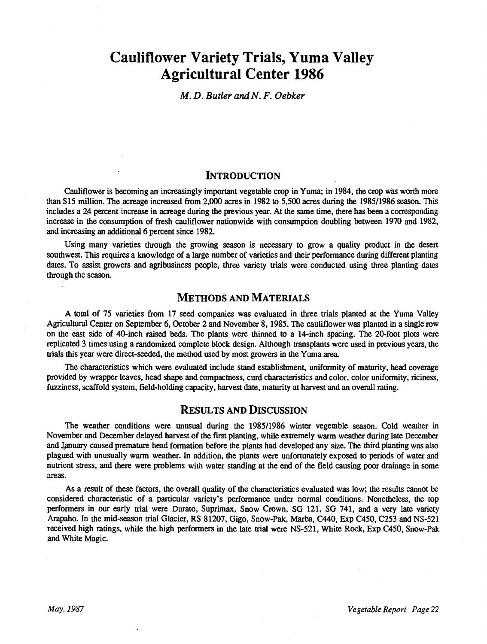# Cauliflower Variety Trials, Yuma Valley Agricultural Center 1986

M. D. Butler and N. F. Oebker

### **INTRODUCTION**

Cauliflower is becoming an increasingly important vegetable crop in Yuma; in 1984, the crop was worth more than \$15 million. The acreage increased from 2,000 acres in 1982 to 5,500 acres during the 1985/1986 season. This includes a 24 percent increase in acreage during the previous year. At the same time, there has been a corresponding increase in the consumption of fresh cauliflower nationwide with consumption doubling between 1970 and 1982, and increasing an additional 6 percent since 1982.

Using many varieties through the growing season is necessary to grow a quality product in the desert southwest. This requires a knowledge of a large number of varieties and their performance during different planting dates. To assist growers and agribusiness people, three variety trials were conducted using three planting dates through the season.

## METHODS AND MATERIALS

A total of 75 varieties from 17 seed companies was evaluated in three trials planted at the Yuma Valley Agricultural Center on September 6, October 2 and November 8, 1985. The cauliflower was planted in a single row on the east side of 40 -inch raised beds. The plants were thinned to a 14 -inch spacing. The 20 -foot plots were replicated 3 times using a randomized complete block design. Although transplants were used in previous years, the trials this year were direct -seeded, the method used by most growers in the Yuma area.

The characteristics which were evaluated include stand establishment, uniformity of maturity, head coverage provided by wrapper leaves, head shape and compactness, curd characteristics and color, color uniformity, riciness, fuzziness, scaffold system, field-holding capacity, harvest date, maturity at harvest and an overall rating.

#### RESULTS AND DISCUSSION

The weather conditions were unusual during the 1985/1986 winter vegetable season. Cold weather in November and December delayed harvest of the first planting, while extremely warm weather during late December and January caused premature head formation before the plants had developed any size. The third planting was also plagued with unusually warm weather. In addition, the plants were unfortunately exposed to periods of water and nutrient stress, and there were problems with water standing at the end of the field causing poor drainage in some areas.

As a result of these factors, the overall quality of the characteristics evaluated was low; the results cannot be considered characteristic of a particular variety's performance under normal conditions. Nonetheless, the top performers in our early trial were Durato, Suprimax, Snow Crown, SG 121, SG 741, and a very late variety Arapaho. In the mid -season trial Glacier, RS 81207, Gigo, Snow -Pak, Marba, C440, Exp C450, C253 and NS -521 received high ratings, while the high performers in the late trial were NS -521, White Rock, Exp C450, Snow -Pak and White Magic.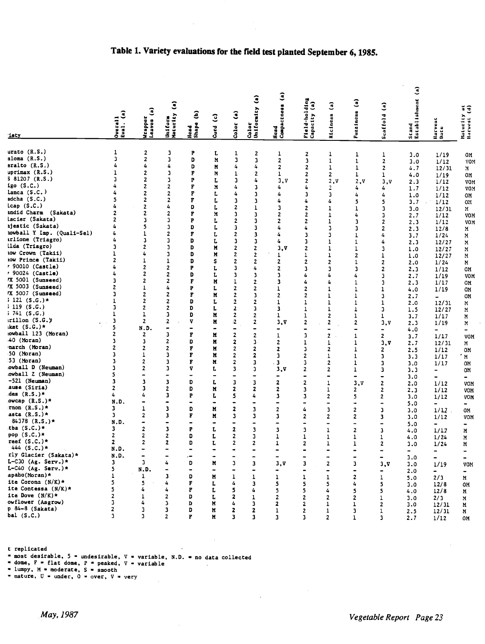|                                        |                     |                                           |                                           |                               |                                   |                                |                                   |                               |                               |                                         |                              |                              | ි                      |                        |                                     |  |
|----------------------------------------|---------------------|-------------------------------------------|-------------------------------------------|-------------------------------|-----------------------------------|--------------------------------|-----------------------------------|-------------------------------|-------------------------------|-----------------------------------------|------------------------------|------------------------------|------------------------|------------------------|-------------------------------------|--|
|                                        |                     |                                           |                                           |                               |                                   |                                | $\widehat{\mathbf{S}}$            | G)<br>  Head<br>  Compactness | Field-holding<br>Capacity (a) |                                         | G                            |                              |                        |                        |                                     |  |
|                                        |                     | G                                         | $\widehat{\mathbf{c}}$                    |                               |                                   |                                |                                   |                               |                               | $\hat{c}$                               |                              | Ĵ                            | Stand<br>Establishment |                        | $\ddot{=}$                          |  |
|                                        | Ĵ                   |                                           |                                           | ê                             | $\hat{c}$                         | Ĵ                              |                                   |                               |                               |                                         |                              |                              |                        |                        |                                     |  |
|                                        |                     |                                           |                                           |                               |                                   |                                |                                   |                               |                               |                                         |                              |                              |                        |                        |                                     |  |
| iety                                   | Overall<br>Eval. (a | Wrapper<br>Leaves (                       | Uniform<br>Maturity                       | Head<br>Shape                 | Curd                              | Color                          | Color<br> Uniformity              |                               |                               | Riciness                                | Fuzziness                    | Scaffold                     |                        | Harvest<br>Date        | Muturity<br>Harvest (               |  |
|                                        |                     |                                           |                                           |                               |                                   |                                |                                   |                               |                               |                                         |                              |                              |                        |                        |                                     |  |
| urato (R.S.)                           | $\mathbf 1$         | $\mathbf{2}$                              | 3                                         | P                             | L                                 | 1                              | $\mathbf{z}$                      | 1                             |                               |                                         |                              |                              |                        |                        |                                     |  |
| aloma (R.S.)                           | 3                   | $\mathbf{2}$                              | 3                                         | D                             | N                                 | 3                              | 3                                 | $\mathbf{2}$                  | 2<br>3                        | 1<br>$\mathbf 1$                        | 1<br>$\mathbf 1$             | 1<br>$\overline{\mathbf{2}}$ | 3.0<br>3.0             | 1/19<br>1/12           | OM<br>VON                           |  |
| eralto (R.S.)                          | 4                   | 4                                         | 4                                         | D                             | M                                 | 4                              | 4                                 | $\overline{\mathbf{2}}$       | 2                             | $\mathbf{1}$                            | $\mathbf 1$                  | $\mathbf{2}$                 | 4.7                    | 12/31                  | M                                   |  |
| $uprimax$ $(R.S.)$                     | 1                   | $\overline{\mathbf{2}}$                   | 3                                         | F                             | M                                 | $\mathbf 1$                    | 2                                 | $\mathbf{1}$                  | 2                             | 2                                       | 1                            | $\mathbf 1$                  | 4.0                    | 1/19                   | OМ                                  |  |
| 381207 (R.S.)                          | 3                   | $\overline{2}$                            | 3                                         | P                             | L                                 | 3                              | 4                                 | 3.9                           | 2                             | 2.5                                     | 2.5                          | 3.V                          | 2.3                    | 1/12                   | VOM                                 |  |
| igo(S.C.)                              | 4                   | $\overline{2}$                            | $\overline{\mathbf{2}}$                   | F                             | M                                 | 4                              | 3                                 | 4                             | 4                             | $\overline{\mathbf{c}}$                 | 4                            | 4                            | 1.7                    | 1/12                   | VO.                                 |  |
| lanca(S.C.)                            | 4                   | $\mathbf{2}$                              | $\overline{2}$                            | F                             | L                                 | 4                              | 3                                 | 4                             | 3                             | 3                                       | 4                            | 4                            | 1.0                    | 1/12                   | OM                                  |  |
| sdcha(S.C.)                            | 5                   | $\overline{2}$                            | $\overline{2}$                            | F                             | L                                 | 3                              | 3                                 | 4                             | 4                             | 4                                       | 5                            | 5                            | 3.7                    | 1/12                   | OM.                                 |  |
| lcap(S.C.)                             | 4                   | $\overline{2}$                            | 4                                         | D                             | L                                 | $\overline{\mathbf{2}}$        | $\mathbf 1$                       | $\overline{\mathbf{3}}$       | 2                             | $\mathbf 1$                             | 1                            | 3                            | 3.0                    | 12/31                  | И.                                  |  |
| andid Charm (Sakata)                   | $\overline{2}$      | $\overline{2}$                            | $\overline{\mathbf{2}}$                   | F                             | M                                 | $\overline{\mathbf{3}}$        | 3                                 | $\overline{2}$                | 2                             | $\mathbf{1}$                            | 4                            | 3                            | 2.7                    | 1/12                   | VOM                                 |  |
| lacier (Sakata)                        |                     | $\overline{\mathbf{3}}$                   | 3                                         | P                             | L                                 | $\mathbf{2}$                   | 3                                 | $\overline{\mathbf{2}}$       | $\overline{c}$                | $\mathbf{1}$                            | 3                            | 2                            | 2.3                    | 1/12                   | <b>VOM</b>                          |  |
| ijestic (Sakata)                       |                     | 5                                         | $\mathbf{3}$                              | D                             | L                                 | $\mathbf{3}$                   | 3                                 | 4                             | 4                             | 3                                       | 3                            | $\overline{2}$               | 2.3                    | 12/8                   | M                                   |  |
| nowball Y Imp. (Quali-Sel)             | 4                   | $\mathbf{1}$                              | 2                                         | F                             | L                                 | $\mathbf{2}$                   | 3                                 | 4                             | 3                             | 3                                       | $\mathbf{1}$                 | 4                            | 3.7                    | 1/24                   | M                                   |  |
| irlione (Triagro)                      | 4                   | $\overline{\mathbf{3}}$                   | 3                                         | D                             | L                                 | 3                              | 3                                 | 4                             | 3                             | $\mathbf{1}$                            | $\mathbf{1}$                 | 4                            | 2.3                    | 12/27                  | M                                   |  |
| ilda (Triagro)                         | 3                   | $\overline{2}$                            | 3                                         | D                             | M                                 | $\mathbf{2}$                   | $\overline{\mathbf{2}}$           | 3.V                           | $\overline{2}$                | $\mathbf{1}$                            | $\mathbf 1$                  | 3                            | 1.0                    | 12/27                  | M                                   |  |
| tow Crown (Takii)                      | 1                   | 4                                         | 3                                         | D                             | N                                 | $\overline{2}$                 | $\overline{\mathbf{2}}$           | 1                             | 1                             | $\mathbf 1$                             | $\overline{2}$               | $\mathbf{1}$                 | 1.0                    | 12/27                  | M                                   |  |
| 10W Prince (Takii)<br>r 90010 (Castle) | 2                   | $\mathbf{1}$                              | $\mathbf{1}$                              | D                             | s                                 | $\overline{\mathbf{2}}$        | 2                                 | 2                             | $\overline{\mathbf{z}}$       | $\overline{2}$                          | $\mathbf{1}$                 | 2                            | 2.0                    | 1/24                   | M                                   |  |
| , 90024 (Castle)                       | 4<br>4              | $\overline{2}$<br>$\overline{\mathbf{2}}$ | $\overline{2}$                            | P                             |                                   | 3                              | 4                                 | $\overline{\mathbf{2}}$       | 3                             | 3                                       | 3                            | 2                            | 2.3                    | 1/12                   | OM                                  |  |
| 7X 5001 (Sunseed)                      | 3                   | $\overline{2}$                            | $\overline{2}$                            | D                             | L                                 | 3                              | 3                                 | 3                             | 4                             | 4                                       | 4                            | 3                            | 2.7                    | 1/19                   | VOM                                 |  |
| <b>7X 5003 (Sunseed)</b>               | $\mathbf{2}$        | $\mathbf{r}$                              | $\overline{\mathbf{c}}$<br>4              | F                             | N                                 | $\mathbf 1$                    | $\mathbf{2}$                      | 3                             | 4                             | 4                                       | $\mathbf{1}$                 | 3                            | 2.3                    | 1/17                   | OM                                  |  |
| <b>7X 5007 (Sunseed)</b>               | 3                   | $\overline{2}$                            | $\mathbf{2}$                              | P<br>F                        | L                                 | $\overline{\mathbf{2}}$        | 2                                 | 1                             | $\overline{2}$                | $\mathbf{1}$                            | $\mathbf 1$                  | 1                            | 4.0                    | 1/19                   | OМ                                  |  |
| $: 121 (S.G.)*$                        | 1                   | 2                                         | $\overline{\mathbf{2}}$                   | D                             | N<br>L                            | $\mathbf{2}$<br>$\overline{2}$ | 3                                 | 2                             | $\overline{2}$                | $\mathbf{1}$                            | $\mathbf{1}$                 | 3                            | 2.7                    | $\sim$ 100 $\mu$       | OM                                  |  |
| $: 119$ (S.G.)                         | 3                   | $\overline{2}$                            | $\overline{2}$                            | D                             | L                                 | 2                              | 2<br>3                            | 1                             | $\mathbf{1}$                  | $\mathbf{1}$                            |                              | 1                            | 2.0                    | 12/31                  | М                                   |  |
| $: 741$ (S.G.)                         | $\mathbf 1$         | $\mathbf 1$                               | 3                                         | D                             | N                                 | 2                              | 2                                 | 3<br>$\mathbf{I}$             | $\mathbf{1}$                  | $\mathbf{1}$<br>$\overline{\mathbf{2}}$ | $\mathbf{1}$                 | 3                            | 1.5                    | 12/27                  | M                                   |  |
| rillon(S.G.)                           | 3                   | $\overline{2}$                            | 2                                         | v                             | N                                 | $\mathbf{2}$                   | 2                                 | 3.V                           | 1<br>$\overline{2}$           | 2                                       | 1<br>$\overline{\mathbf{2}}$ | $\mathbf{1}$                 | 3.7                    | 1/17                   | M                                   |  |
| iket $(S.G.)*$                         | 5                   | N.D.                                      | $\qquad \qquad \blacksquare$              | -                             | -                                 | -                              | $\qquad \qquad \blacksquare$      | -                             |                               | $\overline{a}$                          | $\blacksquare$               | 3, v                         | 2.3                    | 1/19                   | N                                   |  |
| rowball 123 (Moran)                    | 2                   | $\mathbf{z}$                              | 3                                         | F                             | N                                 | 2                              | $\overline{\mathbf{2}}$           | $\mathbf{1}$                  | 3                             | $\mathbf{2}$                            | $\mathbf{1}$                 | ۰<br>$\mathbf{2}$            | 4.0<br>3.7             | $\blacksquare$<br>1/17 | $\qquad \qquad \blacksquare$<br>VOM |  |
| .40 (Moran)                            | 3                   | 3                                         | $\mathbf{2}$                              | D                             | N                                 | 2                              | 3                                 | $\overline{2}$                | 1                             | 1                                       | 1                            | 3.7                          | 2.7                    | 12/31                  | M                                   |  |
| narch (Moran)                          | 2                   | $\overline{\mathbf{2}}$                   | $\overline{2}$                            | F                             | N                                 | 2                              | $\boldsymbol{z}$                  | $\overline{\mathbf{2}}$       | 3                             | 2                                       | $\mathbf{1}$                 | $\mathbf{2}$                 | 2.5                    | 1/12                   | OМ                                  |  |
| 50 (Moran)                             | 3                   | $\mathbf 1$                               | 3                                         | F                             | N                                 | 2                              | $\boldsymbol{z}$                  | $\mathbf{3}$                  | 2                             | 1                                       | $\mathbf 1$                  | 3                            | 3.3                    | 1/17                   | 'M                                  |  |
| 53 (Moran)                             | 3                   | $\mathbf{z}$                              | 3                                         | F                             | M                                 | 2                              | 3                                 | 3                             | 3                             | $\overline{2}$                          | $\mathbf 1$                  | 3                            | 3.0                    | 1/17                   | OM                                  |  |
| owball D (Neuman)                      | 3                   | $\overline{2}$                            | 3                                         | v                             | L                                 | 3                              | 3                                 | 3.7                           | 2                             | 2                                       | $\mathbf 1$                  | 3                            | 3.3                    | $\blacksquare$         | 0M                                  |  |
| owball Z (Neuman)                      | 5                   | $\qquad \qquad \blacksquare$              | $\qquad \qquad \blacksquare$              | $\overline{\phantom{0}}$      | $\qquad \qquad \blacksquare$      | $\qquad \qquad \blacksquare$   |                                   | -                             | $\qquad \qquad \blacksquare$  | $\qquad \qquad \blacksquare$            | $\overline{\phantom{0}}$     | $\qquad \qquad \blacksquare$ | 3.0                    | $\blacksquare$         | $\blacksquare$                      |  |
| -521 (Neuman)                          | 3                   | 3                                         | 3                                         | D                             | L                                 | 3                              | $\overline{\mathbf{3}}$           | $\overline{\mathbf{z}}$       | $\overline{\mathbf{c}}$       | $\mathbf{1}$                            | 3.5                          | $\overline{\mathbf{c}}$      | 2.0                    | 1/12                   | VOM                                 |  |
| ause (Siria)                           | $\overline{2}$      | 3                                         | $\mathbf{2}$                              | D                             | M                                 | 2                              | $\mathbf{z}$                      | $\mathbf{z}$                  | 3                             | $\mathbf 1$                             | 2                            | 2                            | 2.3                    | 1/12                   | VOM                                 |  |
| des (R.S.)*                            | 4                   | 4                                         | 3                                         | P                             | L                                 | 5                              | 4                                 | 3                             | 3                             | $\overline{2}$                          | 5                            | 2                            | 3.0                    | 1/12                   | VOM                                 |  |
| owcap $(R.S.)*$                        | N.D.                | $\blacksquare$                            | $\qquad \qquad \blacksquare$              | -                             | $\blacksquare$                    | $\blacksquare$                 | $\overline{\phantom{0}}$          | $\qquad \qquad \blacksquare$  | $\overline{\phantom{0}}$      | -                                       | $\bullet$                    | $\overline{\phantom{0}}$     | 5.0                    | Ξ.                     | ۰.                                  |  |
| rnon $(R.S.)*$                         | 3                   | ı                                         | 3                                         | D                             | M                                 | 2                              | 3                                 | $\mathbf{2}$                  | 4                             | 3                                       | 2                            | 3                            | 3.0                    | 1/17                   | OM                                  |  |
| asta $(R.S.)*$                         | 3                   | $\mathbf{z}$                              | 3                                         | F                             | N                                 | 3                              | 3                                 | 3                             | $\overline{\mathbf{2}}$       | $\overline{2}$                          | 2                            | 3                            | 3.0                    | 1/12                   | VOM                                 |  |
| 84378 $(R.S.)*$<br>tba (S.C.)*         | N.D.                | $\overline{\phantom{0}}$                  | $\blacksquare$                            | -                             | $\bullet$                         |                                | ۰                                 |                               | $\overline{\phantom{0}}$      | $\overline{\phantom{0}}$                | $\qquad \qquad \blacksquare$ | -                            | 5.0                    | $\blacksquare$         | ۰                                   |  |
| pop (S.C.)*                            | 3<br>$\overline{2}$ | $\overline{\mathbf{2}}$                   | 3                                         | P                             | L                                 | $\overline{\mathbf{z}}$        | 3                                 | 3                             | 3                             | $\mathbf{1}$                            | 2                            | 3                            | 4.0                    | 1/17                   | M                                   |  |
| reef $(S.C.)*$                         | $\mathbf{2}$        | 2<br>2                                    | 2                                         | D                             | L                                 | 2                              | 3                                 | 1                             | 1                             | $\mathbf{1}$                            | 1                            | 1                            | 4.0                    | 1/24                   | M                                   |  |
| 444 $(S.C.)*$                          | N.D.                | -                                         | $\overline{\mathbf{2}}$<br>$\blacksquare$ | D<br>$\overline{\phantom{0}}$ | L<br>$\blacksquare$               | 2                              | $\mathbf{2}$                      | ı                             | $\mathbf{2}$                  | 1                                       | $\mathbf{1}$                 | 2                            | 3.0                    | 1/24                   | M                                   |  |
| rly Glacier (Sakata)*                  | N.D.                |                                           | ۰                                         |                               |                                   | 4                              | $\overline{\phantom{0}}$          | -                             | $\blacksquare$                | $\qquad \qquad \blacksquare$            | $\blacksquare$               | $\overline{\phantom{0}}$     | $\blacksquare$         | Ξ.                     |                                     |  |
| L-C30 (Ag. Serv.)*                     | 3                   | 3                                         |                                           | D                             | $\bullet$                         |                                |                                   |                               |                               |                                         |                              |                              | 3.0                    |                        |                                     |  |
| L-C40 (Ag. Serv.)*                     | 5                   | N.D.                                      |                                           |                               | M                                 | з                              | 3<br>$\qquad \qquad \blacksquare$ | 3, V                          | 3                             | 2                                       | 3                            | 3, V                         | 3.0                    | 1/19                   | VOM                                 |  |
| apaho(Moran)*                          | 1                   | $\mathbf{1}$                              | 3                                         | D                             | $\qquad \qquad \blacksquare$<br>M | $\mathbf{1}$                   |                                   |                               | ٠                             | $\blacksquare$                          |                              | ۰                            | 2.0                    | $\blacksquare$         | $\blacksquare$                      |  |
| ite Corona (N/K)*                      | 5                   | 5                                         | 4                                         | F                             | L                                 | 4                              | ı<br>3                            | $\mathbf{1}$<br>5             | $\mathbf{1}$<br>5             | $\mathbf{1}$<br>5                       | $\mathbf{2}$<br>4            | 1                            | 5.0                    | 2/3                    | M                                   |  |
| ite Contessa $(N/K)*$                  | 5                   | 4                                         | 4                                         | F                             | L                                 | 5                              | 4                                 | 5                             | 5                             | 4                                       | 5                            | 5<br>5                       | 3.0                    | 12/8                   | OM                                  |  |
| ite Dove $(N/K)$ *                     | 2                   | $\mathbf{1}$                              | 2                                         | D                             | r                                 | 2                              | 1                                 | $\overline{\mathbf{2}}$       | $\mathbf{2}$                  | $\mathbf{2}$                            | $\mathbf{2}$                 | $\mathbf{1}$                 | 4.0                    | 12/8                   | M                                   |  |
| owflower (Asgrow)                      | 3                   | 4                                         | з                                         | D                             | M                                 | 4                              | 3                                 | 2                             | 2                             | $\mathbf{1}$                            | $\mathbf 1$                  | 2                            | 3.0<br>3.0             | 2/3<br>12/31           | м<br>м                              |  |
| p 84-8 (Sakata)                        | 2                   | 3                                         | 3                                         | D                             | M                                 | 2                              | 2                                 | 1                             | $\overline{2}$                | $\mathbf{1}$                            | 3                            | 1                            | 2.5                    | 12/31                  | M                                   |  |
| bal $(S.C.)$                           | 3                   | 3                                         | 2                                         | F                             | M                                 | 3                              | 3                                 | 3                             | 3                             | $\mathbf{2}$                            | 1                            | 3                            | 2.7                    | 1/12                   | 0M                                  |  |
|                                        |                     |                                           |                                           |                               |                                   |                                |                                   |                               |                               |                                         |                              |                              |                        |                        |                                     |  |

# Table 1. Variety evaluations for the field test planted September 6, 1985.

t replicated

= most desirable, 5 = undesirable, V = variable, N.D. = no data collected<br>= dome, F = flat dome, P = peaked, V = variable<br>= lumpy, M = moderate, S = smooth<br>= mature, U = under, O = over, V = very

 $\sim$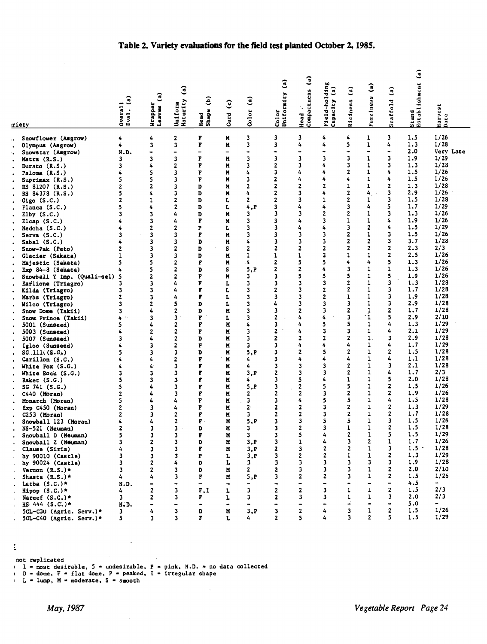|                                       | $\mathbf{a}$<br>Overall<br>Eval. $(i$ | $\mathbf{G}$                   | $\widehat{a}$<br>Maturity                | ê                            | $\widehat{c}$            | G)                                        | Ĵ<br>Color<br>Uniformity | $\hat{e}$<br>Head<br>Compactness | Field-holding<br>$\hat{a}$<br>Capacity | $\hat{a}$<br>Riciness   | Ĵ<br>Fuzziness    | Ĵ<br>Scaffold            | €<br>Stand<br>Establishment |                              |
|---------------------------------------|---------------------------------------|--------------------------------|------------------------------------------|------------------------------|--------------------------|-------------------------------------------|--------------------------|----------------------------------|----------------------------------------|-------------------------|-------------------|--------------------------|-----------------------------|------------------------------|
| riety                                 |                                       | Wrapper<br>Leaves              | Uniform                                  | Head<br>Shape                | Curd                     | Color                                     |                          |                                  |                                        |                         |                   |                          |                             | larvest<br><b>Date</b>       |
| Snowflower (Asgrow)                   | 4                                     | 4                              | 2                                        | F                            | M                        | 3                                         | 3                        | 3                                | 4                                      | 4                       | 1                 | 3                        | 1.5                         | 1/26                         |
| Olympus (Asgrow)                      | 4                                     | 3                              | 3                                        | F                            | N                        | 3                                         | 3                        | 4                                | 4                                      | 5                       | ı                 | 4                        | 1.3                         | 1/28                         |
| Snowstar (Asgrow)                     | N.D.                                  |                                |                                          | $\qquad \qquad \blacksquare$ | $\overline{\phantom{0}}$ | ۰                                         | $\bullet$                | -                                |                                        | 3                       | $\blacksquare$    | $\bullet$                | 2.0                         | Very Late                    |
| Matra (R.S.)                          | 3                                     | 3                              | 3                                        | F                            | M                        | 3                                         | 3                        | з                                | 3<br>4                                 | 3                       | ı                 | 3                        | 1.9                         | 1/29                         |
| Durato (R.S.)                         | 3                                     | 4                              | 2                                        | F                            | M                        | 3                                         | $\mathbf{z}$<br>3        | 3<br>4                           |                                        | $\overline{2}$          | 1<br>1            | 3                        | 1.3<br>1.5                  | 1/28<br>1/26                 |
| Paloma (R.S.)                         | 4                                     | 5                              | 3                                        | F                            | M                        | 4<br>3                                    | $\overline{\mathbf{2}}$  | 4                                |                                        | 4                       | ı                 | 4                        | 1.5                         | 1/26                         |
| Suprimax (R.S.)                       | 5                                     | 5                              | 3                                        | F                            | И<br>M                   | $\mathbf{z}$                              | $\mathbf{z}$             | 2                                |                                        | 1                       | 1                 |                          | 1.3                         | 1/28                         |
| RS 81207 (R.S.)                       | 2<br>5                                | $\mathbf{2}$<br>4              | 3<br>3                                   | D<br>D                       |                          | 4                                         | $\mathbf{2}$             | 3                                | 4                                      | $\overline{2}$          | 4                 | 3                        | 2.9                         | 1/26                         |
| RS 84378 (R.S.)                       | 2                                     | 1                              | 2                                        | D                            | M                        | $\mathbf{z}$                              | $\mathbf{z}$             | 3                                | 1                                      | 2                       | 1                 | 3                        | 1.5                         | 1/28                         |
| Gigo (S.C.)                           | 5                                     | 4                              | 2                                        | D                            | L                        | 4.P                                       | 3                        | 4                                | 4                                      | 3                       | 4                 | 5                        | 1.7                         | 1/29                         |
| Flanca $(S.C.)$                       | 3                                     | 3                              | 4                                        | D                            | L<br>M                   | 3                                         | 3                        | 3                                | 2                                      | 2                       | 1                 | 3                        | 1.3                         | 1/26                         |
| Elby $(S.C.)$                         | 4                                     | 3                              | 4                                        | F                            | M                        | 3                                         | 3                        | 4                                | 3                                      | 1                       | 1                 | 4                        | 1.9                         | 1/26                         |
| Elcap $(S.C.)$<br>Nedcha (S.C.)       | 4                                     | 2                              | 2                                        | P                            | L                        | 3                                         | 3                        | 4                                | 4                                      | 3                       | $\mathbf{2}$      | 4                        | 1.5                         | 1/29                         |
| Serva(S.C.)                           | 3                                     | 3                              | 3                                        | F                            | M                        | 3                                         | 3                        | 3                                | 3                                      | 2                       | 1                 | 3                        | 1.5                         | 1/26                         |
| Sabal $(S.C.)$                        | 4                                     | 3                              | 3                                        | D                            | M                        | 4                                         | 3                        | 3                                | 3                                      | $\overline{2}$          | $\overline{2}$    | 3                        | 3.7                         | 1/28                         |
| Snow-Pak (Peto)                       | 2                                     | 3                              | 2                                        | D                            | s                        | $\overline{2}$                            | 2                        | 2                                | 2                                      | $\mathbf{z}$            | $\overline{2}$    | 2                        | 2.3                         | 2/3                          |
| Glacier (Sakata)                      | 1                                     | 3                              | 3                                        | D                            | N                        | 1                                         | 1                        | ı                                | 2                                      | ı                       | ı                 | 2                        | 2.5                         | 1/26                         |
| Majestic (Sakata)                     | 5                                     | 5                              | 2                                        | F                            | N                        | 4                                         | $\overline{2}$           | 5                                | 5                                      | 4                       | 4                 | 5                        | 1.3                         | 1/26                         |
| Exp $84-8$ (Sakata)                   |                                       | 5                              | 2                                        | D                            | s                        | 5, P                                      | 2                        | 2                                |                                        | 3                       | $\mathbf{I}$      | ı                        | 1.3                         | 1/26                         |
| Snowball Y Imp. (Quali-sel)           | 5                                     | 2                              | 2                                        | F                            | M                        | 3                                         | 3                        | 5                                | 5                                      | 5                       | 1                 | 5                        | 1.9                         | 1/26                         |
| Earlione (Triagro)                    | 3                                     | 3                              | 4                                        | F                            | ı.                       | 3                                         | 3                        | 3                                | 3                                      | 2                       | 1                 | 3                        | 1.3                         | 1/28                         |
| Kilda (Triagro)                       | 3                                     | 3                              | 4                                        | F                            | L                        | 3                                         | 2                        | 3                                | $\overline{2}$                         | $\overline{2}$          | 1                 | 3                        | 1.7                         | 1/28                         |
| Marba (Triagro)                       | 2                                     | 3                              | 4                                        | F                            | L                        | 3                                         | 3                        | 3                                | 2                                      | 1                       | 1                 | 3                        | 1.9                         | 1/28                         |
| Wilco (Triagro)                       | 3                                     | 2                              | 5                                        | D                            | L                        | 3                                         | 4                        | 3                                | 3                                      | 3                       | 1                 | 3                        | 2.9                         | 1/28                         |
| Snow Dome (Takii)                     | 3                                     | 4                              | 2                                        | D                            | M                        | 3                                         | 3                        | $\mathbf{z}$                     | 3                                      | $\overline{2}$          | 1                 | 2                        | 1.7                         | 1/28                         |
| Snow Prince (Takii)                   | 4                                     | 3                              | 3                                        | F                            | L                        | 3                                         | 2                        | 4                                | 4                                      | $\overline{\mathbf{3}}$ | ٠ì.               | 5                        | 2.9                         | 2/10                         |
| 5001 (Sunseed)                        | 5                                     | 4                              | 2                                        | F                            | N                        | 4                                         | 3                        | 4                                | 5                                      | 5                       | $\mathbf{1}$      | 4                        | 1.3                         | 1/29                         |
| 5003 (Sunseed)                        | 4                                     | 2                              | 2                                        | F                            | M                        | 3                                         | 2                        | 4                                | 3                                      | 3                       | 1                 | 4                        | 2.1                         | 1/29                         |
| 5007 (Sunseed)                        | 3                                     | 4                              | 2                                        | D                            | M                        | 3                                         | 2                        | $\mathbf{z}$                     | 2                                      | $\overline{\mathbf{2}}$ | $\mathbf{1}$ .    | 3                        | 2.9                         | 1/28                         |
| Igloo (Sunseed)                       | 4                                     | 3                              | 2                                        | F                            | M                        | 3                                         | 3                        | 4                                | 4                                      | 4                       | 1                 | 4                        | 1.7                         | 1/29                         |
| SG.111( (S.G) )                       | 5                                     | 3                              | 3                                        | D                            | M                        | 5.P                                       | 3                        | 2                                | 5                                      | 2                       | 1                 | $\mathbf{z}$             | 1.5                         | 1/28                         |
| Cartilon(S.G.)                        | 4                                     | 4                              | 2                                        | F                            | M                        | 4                                         | 3                        | 4                                |                                        | 4                       | 1                 |                          | 1.1                         | 1/28                         |
| White Fox $(S.G.)$                    | 4                                     | 4                              | 3                                        | F                            | M                        | 4                                         | 3                        | 3                                | 3                                      | $\overline{2}$          | 1                 | 3                        | 2.1                         | 1/28                         |
| White Rock (S.G.)                     | 3                                     | 3                              | 3                                        | F                            | M                        | 3, P                                      | 2                        | 3                                | 3                                      | $\mathbf{z}$            | 1                 | 4                        | 1.7                         | 2/3                          |
| Raket (S.G.)                          | 5                                     | 3                              | 3                                        | F                            | M                        | 4                                         | 3                        | 5                                |                                        | 1                       | 1                 | 5                        | 2.0                         | 1/28                         |
| SG 741 (S.G.)                         | 5                                     | 4                              | 3                                        | F                            | N                        | 5, P                                      | 3                        | 2                                | 5                                      | 5                       | 1                 | $\mathbf{2}$             | 1.5                         | 1/26                         |
| $C440$ (Moran)                        | 2                                     | 4                              | 3                                        | F                            | N                        | $\mathbf{z}$                              | 2                        | 2                                | 3                                      | 2                       | 1                 | 2                        | 1.9                         | 1/26                         |
| Monarch (Moran)                       | 5                                     | 4                              | 4                                        | F                            | M                        | 3                                         | 3                        | 4                                | 5                                      | 5                       | 1                 | 4                        | 1.5                         | 1/28                         |
| Exp C450 (Moran)                      | 2                                     | 3                              | 4                                        | F                            | M                        | $2^{\circ}$                               | 2                        | 2                                | 3                                      | $\mathbf{z}$            | 1                 | 2                        | 1.3                         | 1/29                         |
| $C253$ (Moran)                        | 2                                     | 3                              | 2                                        | F                            | M                        | 3                                         | 2                        | 2                                | 3                                      | $\overline{2}$          | 1                 | 2                        | 1.7                         | 1/28                         |
| Snowball 123 (Moran)                  | 4                                     | 4                              | $\mathbf{2}$                             | $\mathbf{F}$ .               | M                        | 5, P                                      | 3                        | 3                                | 5                                      | 5                       | 1                 | 3<br>2                   | 1.5<br>1.5                  | 1/26<br>1/28                 |
| NS-521 (Neuman)                       | 2                                     | 3                              | 3                                        | D                            | N                        | 3                                         | 3                        | $\overline{\mathbf{z}}$          | 3                                      | 1<br>$\overline{2}$     | 1                 | 5                        |                             |                              |
| Snowball D (Neuman)                   | 5                                     | 3                              | 3                                        | F                            | M                        | 3                                         | 3                        | 5                                | 4                                      |                         | 1                 |                          | 1.5<br>1.7                  | 1/29<br>1/26                 |
| Snowball Z (Netman)                   | 3                                     | 2                              | 3                                        | D                            | N                        | 3, P                                      | 3                        | 1                                | 4                                      | 3<br>$\overline{2}$     | 2<br>$\mathbf{I}$ | 1<br>3                   | $1.5 -$                     | 1/28                         |
| Clause (Siria)                        | 4<br>3                                | 3                              | 3                                        | F                            | M                        | 3.P                                       | $\mathbf{z}$<br>3        | 3<br>$\mathbf{2}$                | $\mathbf{z}$<br>$\mathbf{z}$           | $\mathbf{I}$            | $\mathbf{1}$      | 2                        | 1.3                         | 1/29                         |
| hy 90010 (Castle)                     | 3                                     | 3                              | 3<br>4                                   | P<br>D                       | L                        | 3, P<br>3.                                | 3                        | 3                                | 3                                      | $\overline{\mathbf{3}}$ | 3                 | 3                        | 1.9                         | 1/28                         |
| hy 90024 (Castle)                     | 3                                     | $\mathbf{2}$<br>$\overline{2}$ |                                          |                              | L                        | $\mathbf{2}$                              |                          | 3                                | 3                                      | $\overline{\mathbf{3}}$ | $\mathbf{1}$      | $\overline{2}$           | 2.0                         | 2/10                         |
| Vernon $(R.S.)*$                      |                                       | 4                              | 3<br>3                                   | D                            | M                        |                                           | 2                        | $\mathbf{2}$                     | $\mathbf{2}$                           | 3                       | $\mathbf{1}$      | $\mathbf{z}$             | 1.5                         | 1/26                         |
| Shasta $(R.S.)*$                      | 4                                     |                                |                                          | $\mathbf{F}$                 | N.                       | 5, P                                      | 3                        | $\qquad \qquad \blacksquare$     | $\qquad \qquad \blacksquare$           | $\bullet$               |                   | $\overline{\phantom{0}}$ | 4.5                         | $\qquad \qquad \blacksquare$ |
| Latha $(S.C.)*$                       | N.D.                                  | $\overline{2}$                 | $\rightarrow$<br>$\overline{\mathbf{3}}$ |                              |                          | $\blacksquare$<br>$\overline{\mathbf{3}}$ | ۰.<br>$\overline{2}$     | $\overline{2}$                   | 3                                      | $\mathbf{1}$            | $\mathbf{I}$      | $\mathbf{z}$             | 1.5                         | 2/3                          |
| $Hipop(S.C.)*$                        | 4<br>3                                | $\mathbf{z}$                   | 3                                        | F, I<br>Ŧ                    | L                        | $\overline{\mathbf{3}}$                   | $\mathbf{z}$             | 3                                | 3                                      | $\mathbf{I}$            | 1                 | 3                        | 2.0                         | 2/3                          |
| Nareef $(S.C.)$ *<br>$HS.444 (S.C.)*$ |                                       |                                |                                          |                              | L                        |                                           |                          | $\qquad \qquad \blacksquare$     |                                        |                         |                   |                          | 5.0                         | $\blacksquare$               |
| 5GL-C30 (Agric. Serv.)*               | N.D.<br>3.                            | 4                              | 3                                        | D                            | N                        | 3, P                                      | 3                        | 2                                | 4                                      | 3                       | 1                 | 2                        | 1.5                         | 1/26                         |
| 5GL-C40 (Agric. Serv.)*               | 5.                                    | 3                              | 3                                        | F                            | L                        | 4                                         | $\mathbf{z}$             | 5                                | 4                                      | 3                       | $\mathbf{2}$      | 5                        | 1.5                         | 1/29                         |
|                                       |                                       |                                |                                          |                              |                          |                                           |                          |                                  |                                        |                         |                   |                          |                             |                              |

## Table 2. Variety evaluations for the field test planted October 2, 1985.

 $\overline{\underline{\xi}}$ 

not replicated <sup>1</sup> 1 = most desirable, 5 = undesirable, P = pink, N.D. = no data collected

 $\sim$ 

 $\bar{\mathcal{A}}$ 

 $\bar{\mathcal{A}}$ 

<sup>i</sup> D = dome, F = flat dome, P = peaked, I = irregular shape

L = lump, M = moderate, S = smooth